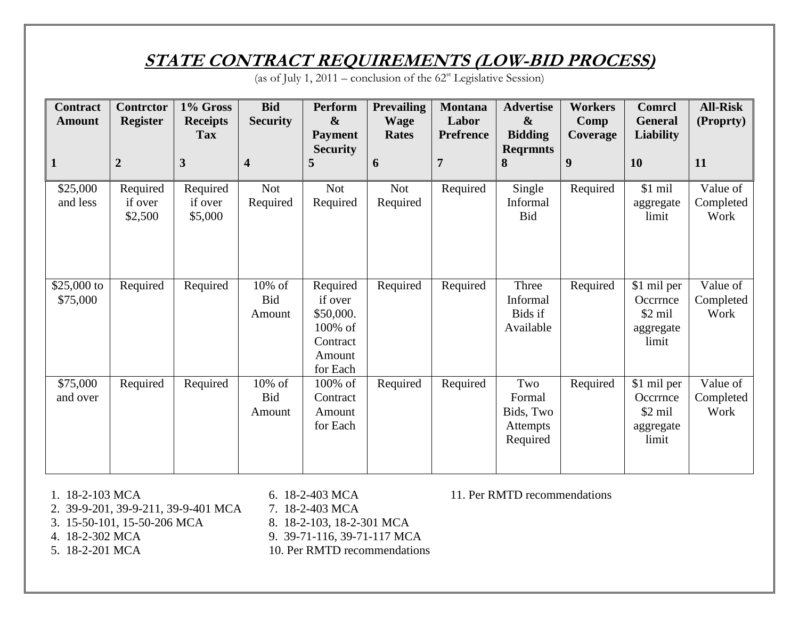## **STATE CONTRACT REQUIREMENTS (LOW-BID PROCESS)**

(as of July 1, 2011 – conclusion of the  $62<sup>st</sup>$  Legislative Session)

| <b>Contract</b><br><b>Amount</b> | Contrctor<br><b>Register</b>   | 1% Gross<br><b>Receipts</b><br><b>Tax</b> | <b>Bid</b><br><b>Security</b>  | Perform<br>$\boldsymbol{\alpha}$<br><b>Payment</b>                            | <b>Prevailing</b><br><b>Wage</b><br><b>Rates</b> | <b>Montana</b><br>Labor<br><b>Prefrence</b> | <b>Advertise</b><br>$\boldsymbol{\&}$<br><b>Bidding</b> | <b>Workers</b><br>Comp<br>Coverage | <b>Comrcl</b><br><b>General</b><br><b>Liability</b>               | <b>All-Risk</b><br>(Proprty)  |
|----------------------------------|--------------------------------|-------------------------------------------|--------------------------------|-------------------------------------------------------------------------------|--------------------------------------------------|---------------------------------------------|---------------------------------------------------------|------------------------------------|-------------------------------------------------------------------|-------------------------------|
| 1                                | $\overline{2}$                 | 3                                         | $\overline{\mathbf{4}}$        | <b>Security</b><br>5                                                          | 6                                                | $\overline{7}$                              | <b>Regrmnts</b><br>8                                    | 9                                  | <b>10</b>                                                         | 11                            |
| \$25,000<br>and less             | Required<br>if over<br>\$2,500 | Required<br>if over<br>\$5,000            | <b>Not</b><br>Required         | Not<br>Required                                                               | <b>Not</b><br>Required                           | Required                                    | Single<br>Informal<br><b>Bid</b>                        | Required                           | \$1 mil<br>aggregate<br>limit                                     | Value of<br>Completed<br>Work |
| \$25,000 to<br>\$75,000          | Required                       | Required                                  | 10% of<br>Bid<br>Amount        | Required<br>if over<br>\$50,000.<br>100% of<br>Contract<br>Amount<br>for Each | Required                                         | Required                                    | Three<br>Informal<br>Bids if<br>Available               | Required                           | \$1 mil per<br>Occrrnce<br>$$2 \text{ mil}$<br>aggregate<br>limit | Value of<br>Completed<br>Work |
| \$75,000<br>and over             | Required                       | Required                                  | 10% of<br><b>Bid</b><br>Amount | 100% of<br>Contract<br>Amount<br>for Each                                     | Required                                         | Required                                    | Two<br>Formal<br>Bids, Two<br>Attempts<br>Required      | Required                           | \$1 mil per<br>Occrrnce<br>$$2 \text{ mil}$<br>aggregate<br>limit | Value of<br>Completed<br>Work |

- 1. 18-2-103 MCA 6. 18-2-403 MCA 11. Per RMTD recommendations
- 2. 39-9-201, 39-9-211, 39-9-401 MCA 7. 18-2-403 MCA
- 3. 15-50-101, 15-50-206 MCA 8. 18-2-103, 18-2-301 MCA<br>4. 18-2-302 MCA 9. 39-71-116, 39-71-117 MC
- 
- 
- 
- 
- 
- 9. 39-71-116, 39-71-117 MCA
- 5. 18-2-201 MCA 10. Per RMTD recommendations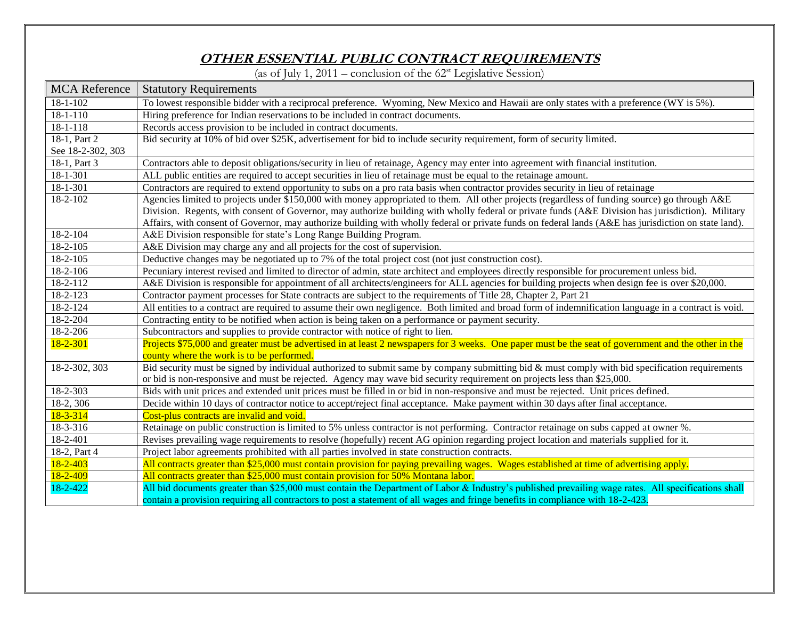## **OTHER ESSENTIAL PUBLIC CONTRACT REQUIREMENTS**

(as of July 1, 2011 – conclusion of the  $62<sup>st</sup>$  Legislative Session)

| <b>MCA</b> Reference | <b>Statutory Requirements</b>                                                                                                                          |  |  |  |  |  |  |
|----------------------|--------------------------------------------------------------------------------------------------------------------------------------------------------|--|--|--|--|--|--|
| $18 - 1 - 102$       | To lowest responsible bidder with a reciprocal preference. Wyoming, New Mexico and Hawaii are only states with a preference (WY is 5%).                |  |  |  |  |  |  |
| $18 - 1 - 110$       | Hiring preference for Indian reservations to be included in contract documents.                                                                        |  |  |  |  |  |  |
| $18 - 1 - 118$       | Records access provision to be included in contract documents.                                                                                         |  |  |  |  |  |  |
| 18-1, Part 2         | Bid security at 10% of bid over \$25K, advertisement for bid to include security requirement, form of security limited.                                |  |  |  |  |  |  |
| See 18-2-302, 303    |                                                                                                                                                        |  |  |  |  |  |  |
| 18-1, Part 3         | Contractors able to deposit obligations/security in lieu of retainage, Agency may enter into agreement with financial institution.                     |  |  |  |  |  |  |
| 18-1-301             | ALL public entities are required to accept securities in lieu of retainage must be equal to the retainage amount.                                      |  |  |  |  |  |  |
| 18-1-301             | Contractors are required to extend opportunity to subs on a pro rata basis when contractor provides security in lieu of retainage                      |  |  |  |  |  |  |
| 18-2-102             | Agencies limited to projects under \$150,000 with money appropriated to them. All other projects (regardless of funding source) go through A&E         |  |  |  |  |  |  |
|                      | Division. Regents, with consent of Governor, may authorize building with wholly federal or private funds (A&E Division has jurisdiction). Military     |  |  |  |  |  |  |
|                      | Affairs, with consent of Governor, may authorize building with wholly federal or private funds on federal lands (A&E has jurisdiction on state land).  |  |  |  |  |  |  |
| 18-2-104             | A&E Division responsible for state's Long Range Building Program.                                                                                      |  |  |  |  |  |  |
| $18 - 2 - 105$       | A&E Division may charge any and all projects for the cost of supervision.                                                                              |  |  |  |  |  |  |
| $18-2-105$           | Deductive changes may be negotiated up to 7% of the total project cost (not just construction cost).                                                   |  |  |  |  |  |  |
| 18-2-106             | Pecuniary interest revised and limited to director of admin, state architect and employees directly responsible for procurement unless bid.            |  |  |  |  |  |  |
| 18-2-112             | A&E Division is responsible for appointment of all architects/engineers for ALL agencies for building projects when design fee is over \$20,000.       |  |  |  |  |  |  |
| 18-2-123             | Contractor payment processes for State contracts are subject to the requirements of Title 28, Chapter 2, Part 21                                       |  |  |  |  |  |  |
| 18-2-124             | All entities to a contract are required to assume their own negligence. Both limited and broad form of indemnification language in a contract is void. |  |  |  |  |  |  |
| 18-2-204             | Contracting entity to be notified when action is being taken on a performance or payment security.                                                     |  |  |  |  |  |  |
| 18-2-206             | Subcontractors and supplies to provide contractor with notice of right to lien.                                                                        |  |  |  |  |  |  |
| $18 - 2 - 301$       | Projects \$75,000 and greater must be advertised in at least 2 newspapers for 3 weeks. One paper must be the seat of government and the other in the   |  |  |  |  |  |  |
|                      | county where the work is to be performed.                                                                                                              |  |  |  |  |  |  |
| 18-2-302, 303        | Bid security must be signed by individual authorized to submit same by company submitting bid & must comply with bid specification requirements        |  |  |  |  |  |  |
|                      | or bid is non-responsive and must be rejected. Agency may wave bid security requirement on projects less than \$25,000.                                |  |  |  |  |  |  |
| 18-2-303             | Bids with unit prices and extended unit prices must be filled in or bid in non-responsive and must be rejected. Unit prices defined.                   |  |  |  |  |  |  |
| 18-2, 306            | Decide within 10 days of contractor notice to accept/reject final acceptance. Make payment within 30 days after final acceptance.                      |  |  |  |  |  |  |
| $18 - 3 - 314$       | Cost-plus contracts are invalid and void.                                                                                                              |  |  |  |  |  |  |
| 18-3-316             | Retainage on public construction is limited to 5% unless contractor is not performing. Contractor retainage on subs capped at owner %.                 |  |  |  |  |  |  |
| 18-2-401             | Revises prevailing wage requirements to resolve (hopefully) recent AG opinion regarding project location and materials supplied for it.                |  |  |  |  |  |  |
| 18-2, Part 4         | Project labor agreements prohibited with all parties involved in state construction contracts.                                                         |  |  |  |  |  |  |
| $18 - 2 - 403$       | All contracts greater than \$25,000 must contain provision for paying prevailing wages. Wages established at time of advertising apply.                |  |  |  |  |  |  |
| $18 - 2 - 409$       | All contracts greater than \$25,000 must contain provision for 50% Montana labor.                                                                      |  |  |  |  |  |  |
| 18-2-422             | All bid documents greater than \$25,000 must contain the Department of Labor & Industry's published prevailing wage rates. All specifications shall    |  |  |  |  |  |  |
|                      | contain a provision requiring all contractors to post a statement of all wages and fringe benefits in compliance with 18-2-423.                        |  |  |  |  |  |  |